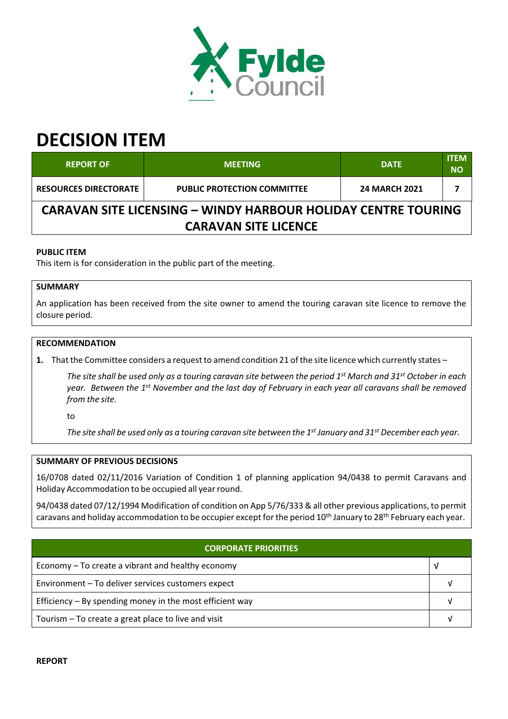

# **DECISION ITEM**

| <b>REPORT OF</b>                                                     | <b>MEETING</b>                     | <b>DATE</b>          | <b>ITEM</b><br><b>NO</b> |  |  |
|----------------------------------------------------------------------|------------------------------------|----------------------|--------------------------|--|--|
| <b>RESOURCES DIRECTORATE</b>                                         | <b>PUBLIC PROTECTION COMMITTEE</b> | <b>24 MARCH 2021</b> |                          |  |  |
| <b>CARAVAN SITE LICENSING - WINDY HARBOUR HOLIDAY CENTRE TOURING</b> |                                    |                      |                          |  |  |
| <b>CARAVAN SITE LICENCE</b>                                          |                                    |                      |                          |  |  |

## **PUBLIC ITEM**

This item is for consideration in the public part of the meeting.

## **SUMMARY**

An application has been received from the site owner to amend the touring caravan site licence to remove the closure period.

## **RECOMMENDATION**

**1.** That the Committee considers a request to amend condition 21 of the site licence which currently states –

The site shall be used only as a touring caravan site between the period 1<sup>st</sup> March and 31<sup>st</sup> October in each year. Between the 1<sup>st</sup> November and the last day of February in each year all caravans shall be removed *from the site.*

to

The site shall be used only as a touring caravan site between the  $1^{st}$  January and 31st December each year.

#### **SUMMARY OF PREVIOUS DECISIONS**

16/0708 dated 02/11/2016 Variation of Condition 1 of planning application 94/0438 to permit Caravans and Holiday Accommodation to be occupied all year round.

94/0438 dated 07/12/1994 Modification of condition on App 5/76/333 & all other previous applications, to permit caravans and holiday accommodation to be occupier except for the period 10<sup>th</sup> January to 28<sup>th</sup> February each year.

| <b>CORPORATE PRIORITIES</b>                              |   |  |  |
|----------------------------------------------------------|---|--|--|
| Economy – To create a vibrant and healthy economy        | V |  |  |
| Environment - To deliver services customers expect       |   |  |  |
| Efficiency – By spending money in the most efficient way |   |  |  |
| Tourism - To create a great place to live and visit      |   |  |  |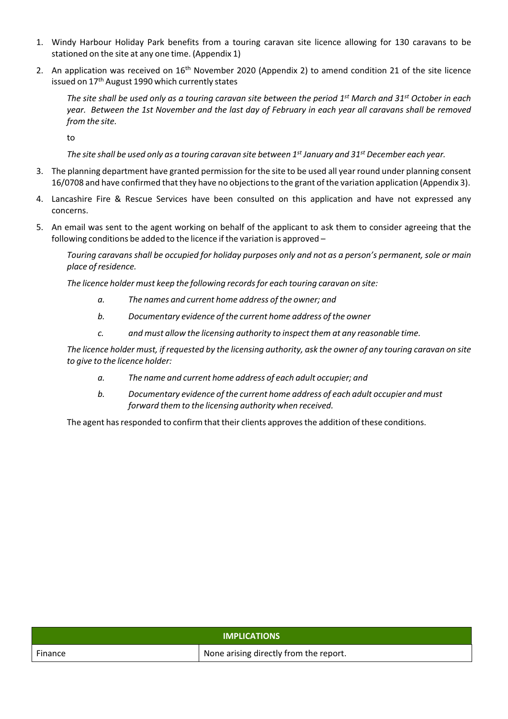- 1. Windy Harbour Holiday Park benefits from a touring caravan site licence allowing for 130 caravans to be stationed on the site at any one time. (Appendix 1)
- 2. An application was received on 16<sup>th</sup> November 2020 (Appendix 2) to amend condition 21 of the site licence issued on 17 th August 1990 which currently states

The site shall be used only as a touring caravan site between the period 1<sup>st</sup> March and 31<sup>st</sup> October in each year. Between the 1st November and the last day of February in each year all carayans shall be removed *from the site.*

to

The site shall be used only as a touring caravan site between 1st January and 31st December each year.

- 3. The planning department have granted permission for the site to be used all year round under planning consent 16/0708 and have confirmed that they have no objectionsto the grant of the variation application (Appendix 3).
- 4. Lancashire Fire & Rescue Services have been consulted on this application and have not expressed any concerns.
- 5. An email was sent to the agent working on behalf of the applicant to ask them to consider agreeing that the following conditions be added to the licence if the variation is approved –

Touring caravans shall be occupied for holiday purposes only and not as a person's permanent, sole or main *place of residence.*

*The licence holder must keep the following recordsfor each touring caravan on site:*

- *a. The names and current home address of the owner; and*
- *b. Documentary evidence of the current home address of the owner*
- *c. and must allow the licensing authority to inspect them at any reasonable time.*

The licence holder must, if requested by the licensing authority, ask the owner of any touring caravan on site *to give to the licence holder:*

- *a. The name and current home address of each adult occupier; and*
- *b. Documentary evidence of the current home address of each adult occupier and must forward them to the licensing authority when received.*

The agent has responded to confirm that their clients approves the addition of these conditions.

| <b>IMPLICATIONS</b> |                                        |
|---------------------|----------------------------------------|
| Finance             | None arising directly from the report. |